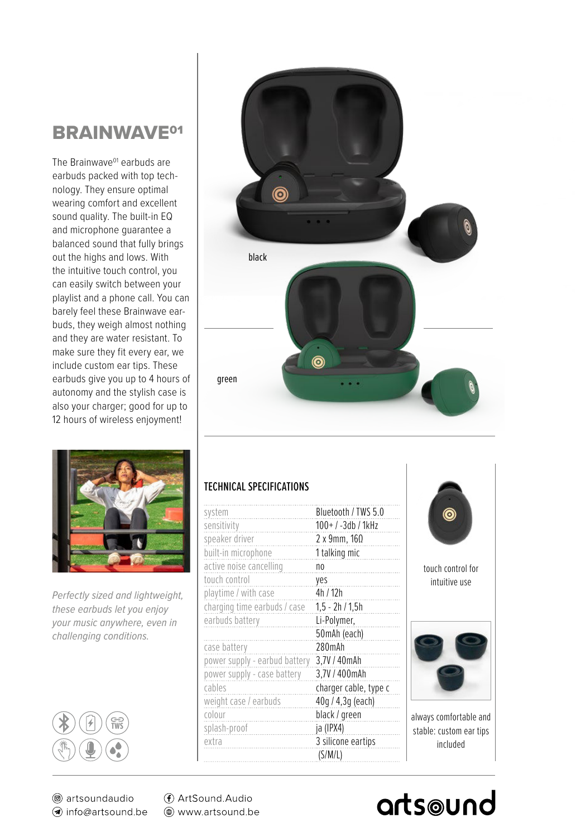# BRAINWAVE<sup>01</sup>

The Brainwave<sup>01</sup> earbuds are earbuds packed with top technology. They ensure optimal wearing comfort and excellent sound quality. The built-in EQ and microphone guarantee a balanced sound that fully brings out the highs and lows. With the intuitive touch control, you can easily switch between your playlist and a phone call. You can barely feel these Brainwave earbuds, they weigh almost nothing and they are water resistant. To make sure they fit every ear, we include custom ear tips. These earbuds give you up to 4 hours of autonomy and the stylish case is also your charger; good for up to 12 hours of wireless enjoyment!



Perfectly sized and lightweight, these earbuds let you enjoy your music anywhere, even in challenging conditions.





#### TECHNICAL SPECIFICATIONS

| system                        | Bluetooth / TWS 5.0          |
|-------------------------------|------------------------------|
| sensitivity                   | $100+$ / -3db / 1kHz         |
| speaker driver                | $2 \times 9$ mm, 16 $\Omega$ |
| built-in microphone           | 1 talking mic                |
| active noise cancelling       | no                           |
| touch control                 | yes                          |
| playtime / with case          | 4h / 12h                     |
| charging time earbuds / case  | $1.5 - 2h / 1, 5h$           |
| earbuds battery               | Li-Polymer,                  |
|                               | 50mAh (each)                 |
| case battery                  | 280mAh                       |
| power supply - earbud battery | 3,7V / 40mAh                 |
| power supply - case battery   | 3,7V / 400mAh                |
| cables                        | charger cable, type c        |
| weight case / earbuds         | 40g / 4,3g (each)            |
| colour                        | black / green                |
| splash-proof                  | ja (IPX4)                    |
| extra                         | 3 silicone eartips           |
|                               | (S/M/L)                      |



touch control for intuitive use



always comfortable and stable: custom ear tips included

### (f) ArtSound.Audio

(@) www.artsound.be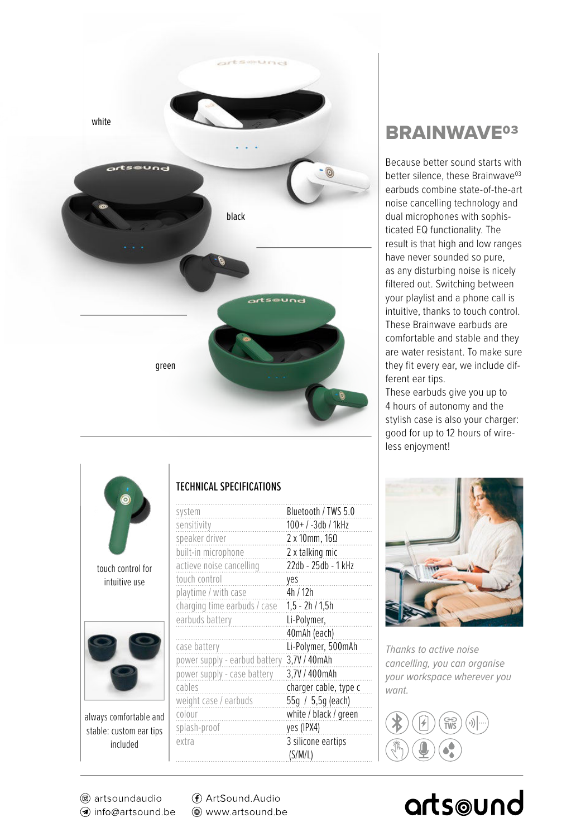



touch control for intuitive use



always comfortable and stable: custom ear tips included

## TECHNICAL SPECIFICATIONS

| system                        | Bluetooth / TWS 5.0     |
|-------------------------------|-------------------------|
| sensitivity                   | $100+$ / -3db / 1kHz    |
| speaker driver                | $2 \times 10$ mm, $160$ |
| built-in microphone           | 2 x talking mic         |
| actieve noise cancelling      | 22db - 25db - 1 kHz     |
| touch control                 | yes                     |
| playtime / with case          | 4h / 12h                |
| charging time earbuds / case  | $1,5 - 2h / 1,5h$       |
| earbuds battery               | Li-Polymer,             |
|                               | 40mAh (each)            |
| case battery                  | Li-Polymer, 500mAh      |
| power supply - earbud battery | 3,7V / 40mAh            |
| power supply - case battery   | 3,7V / 400mAh           |
| cables                        | charger cable, type c   |
| weight case / earbuds         | 55g / 5,5g (each)       |
| colour                        | white / black / green   |
| splash-proof                  | yes (IPX4)              |
| extra                         | 3 silicone eartips      |
|                               | (S/M/L)                 |
|                               |                         |

# BRAINWAVE03

Because better sound starts with better silence, these Brainwave<sup>03</sup> earbuds combine state-of-the-art noise cancelling technology and dual microphones with sophisticated EQ functionality. The result is that high and low ranges have never sounded so pure, as any disturbing noise is nicely filtered out. Switching between your playlist and a phone call is intuitive, thanks to touch control. These Brainwave earbuds are comfortable and stable and they are water resistant. To make sure they fit every ear, we include different ear tips.

These earbuds give you up to 4 hours of autonomy and the stylish case is also your charger: good for up to 12 hours of wireless enjoyment!



Thanks to active noise cancelling, you can organise your workspace wherever you want.

# **TWS**

@ artsoundaudio a) info@artsound.be (f) ArtSound.Audio

(@) www.artsound.be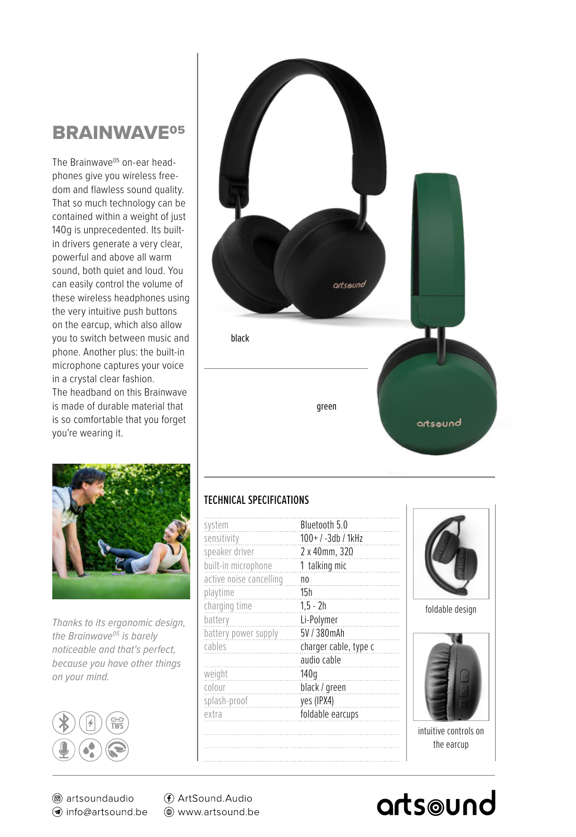# BRAINWAVE05

The Brainwave<sup>05</sup> on-ear headphones give you wireless freedom and flawless sound quality. That so much technology can be contained within a weight of just 140g is unprecedented. Its builtin drivers generate a very clear, powerful and above all warm sound, both quiet and loud. You can easily control the volume of these wireless headphones using the very intuitive push buttons on the earcup, which also allow you to switch between music and phone. Another plus: the built-in microphone captures your voice in a crystal clear fashion. The headband on this Brainwave is made of durable material that is so comfortable that you forget you're wearing it.



Thanks to its ergonomic design, the Brainwave<sup>05</sup> is barely noticeable and that's perfect, because you have other things on your mind.





## TECHNICAL SPECIFICATIONS

| system                  | Bluetooth 5.0         |
|-------------------------|-----------------------|
| sensitivity             | $100+$ / -3db / 1kHz  |
|                         |                       |
| speaker driver          | 2 x 40mm, 320         |
| built-in microphone     | 1 talking mic         |
| active noise cancelling | no                    |
| playtime                | 15h                   |
| charging time           | $1,5 - 2h$            |
| battery                 | Li-Polymer            |
| battery power supply    | 5V / 380mAh           |
| cables                  | charger cable, type c |
|                         | audio cable           |
| weight                  | 140a                  |
| colour                  | black / green         |
| splash-proof            | yes (IPX4)            |
| extra                   | foldable earcups      |
|                         |                       |
|                         |                       |
|                         |                       |
|                         |                       |



foldable design



intuitive controls on the earcup

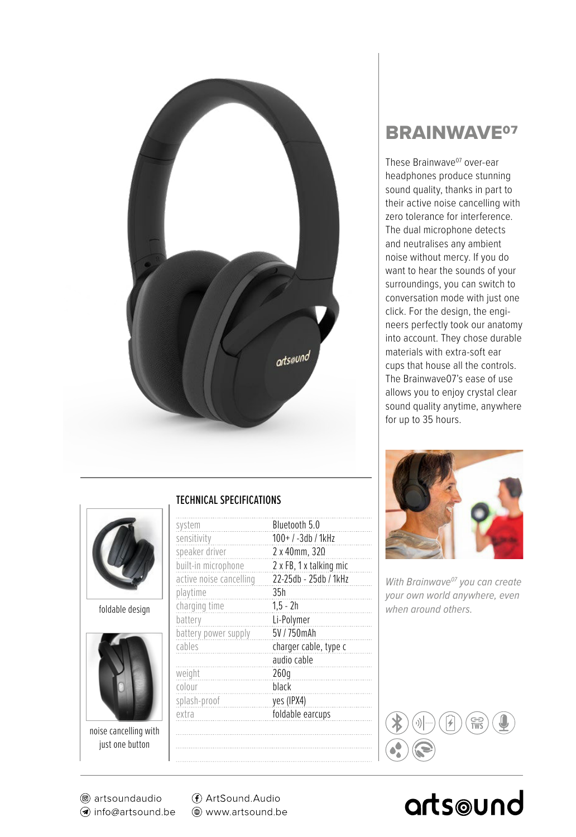

### TECHNICAL SPECIFICATIONS



foldable design



noise cancelling with just one button

| system                  | Bluetooth 5.0           |
|-------------------------|-------------------------|
| sensitivity             | $100+$ / -3db / 1kHz    |
| speaker driver          | 2 x 40mm, 320           |
| built-in microphone     | 2 x FB, 1 x talking mic |
| active noise cancelling | 22-25db - 25db / 1kHz   |
| playtime                | 35h                     |
| charging time           | $1,5 - 2h$              |
| battery                 | Li-Polymer              |
| battery power supply    | 5V / 750mAh             |
| cables                  | charger cable, type c   |
|                         | audio cable             |
| weight                  | 260q                    |
| colour                  | black                   |
| splash-proof            | yes (IPX4)              |
| extra                   | foldable earcups        |
|                         |                         |
|                         |                         |
|                         |                         |
|                         |                         |

# BRAINWAVE<sup>07</sup>

These Brainwaye<sup>07</sup> over-ear headphones produce stunning sound quality, thanks in part to their active noise cancelling with zero tolerance for interference. The dual microphone detects and neutralises any ambient noise without mercy. If you do want to hear the sounds of your surroundings, you can switch to conversation mode with just one click. For the design, the engineers perfectly took our anatomy into account. They chose durable materials with extra-soft ear cups that house all the controls. The Brainwave07's ease of use allows you to enjoy crystal clear sound quality anytime, anywhere for up to 35 hours.



With Brainwave<sup>07</sup> you can create your own world anywhere, even when around others.



@ artsoundaudio nfo@artsound.be (f) ArtSound.Audio

(@) www.artsound.be